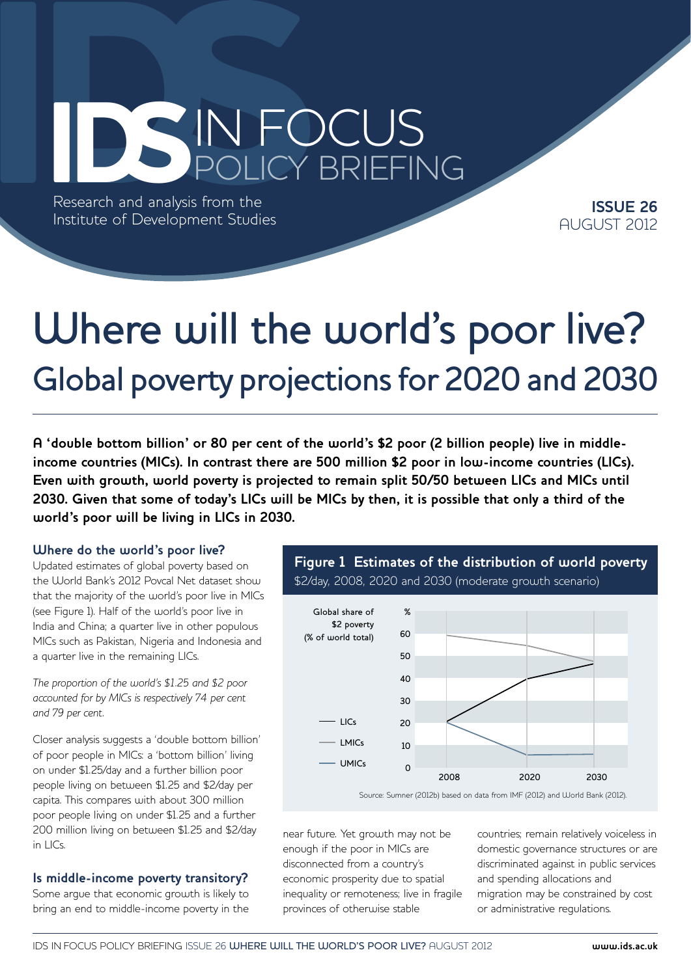# IN FOCUS<br>Research and analysis from the<br>Institute of Development Studies POLICY BRIEFING

Research and analysis from the Institute of Development Studies

**ISSUE 26** AUGUST 2012

# Where will the world's poor live? Global poverty projections for 2020 and 2030

**A 'double bottom billion' or 80 per cent of the world's \$2 poor (2 billion people) live in middleincome countries (MICs). In contrast there are 500 million \$2 poor in low-income countries (LICs). Even with growth, world poverty is projected to remain split 50/50 between LICs and MICs until 2030. Given that some of today's LICs will be MICs by then, it is possible that only a third of the world's poor will be living in LICs in 2030.**

#### **Where do the world's poor live?**

Updated estimates of global poverty based on the World Bank's 2012 Povcal Net dataset show that the majority of the world's poor live in MICs (see Figure 1). Half of the world's poor live in India and China; a quarter live in other populous MICs such as Pakistan, Nigeria and Indonesia and a quarter live in the remaining LICs.

*The proportion of the world's \$1.25 and \$2 poor accounted for by MICs is respectively 74 per cent and 79 per cent.* 

Closer analysis suggests a 'double bottom billion' of poor people in MICs: a 'bottom billion' living on under \$1.25/day and a further billion poor people living on between \$1.25 and \$2/day per capita. This compares with about 300 million poor people living on under \$1.25 and a further 200 million living on between \$1.25 and \$2/day in LICs.

#### **Is middle-income poverty transitory?**

Some argue that economic growth is likely to bring an end to middle-income poverty in the

**Figure 1 Estimates of the distribution of world poverty**  \$2/day, 2008, 2020 and 2030 (moderate growth scenario)



near future. Yet growth may not be enough if the poor in MICs are disconnected from a country's economic prosperity due to spatial inequality or remoteness; live in fragile provinces of otherwise stable

countries; remain relatively voiceless in domestic governance structures or are discriminated against in public services and spending allocations and migration may be constrained by cost or administrative regulations.